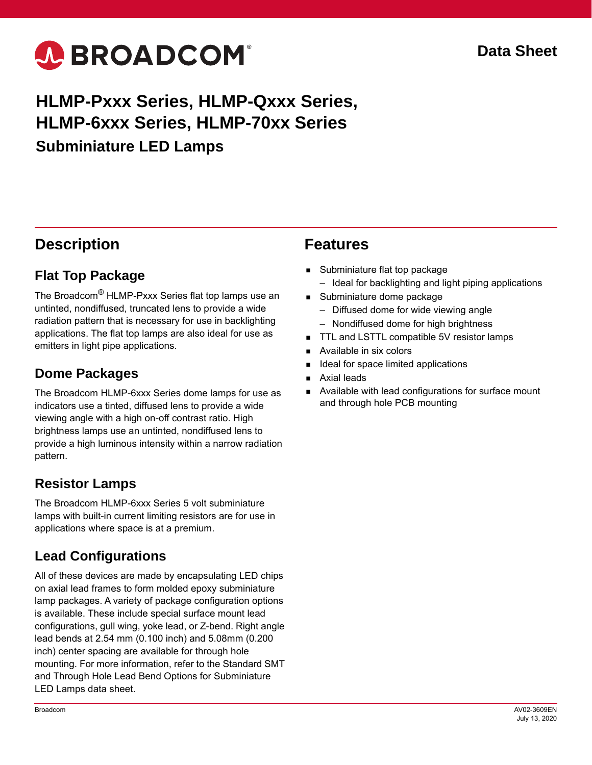

## **HLMP-Pxxx Series, HLMP-Qxxx Series, HLMP-6xxx Series, HLMP-70xx Series Subminiature LED Lamps**

## **Description**

## **Flat Top Package**

The Broadcom® HLMP-Pxxx Series flat top lamps use an untinted, nondiffused, truncated lens to provide a wide radiation pattern that is necessary for use in backlighting applications. The flat top lamps are also ideal for use as emitters in light pipe applications.

## **Dome Packages**

The Broadcom HLMP-6xxx Series dome lamps for use as indicators use a tinted, diffused lens to provide a wide viewing angle with a high on-off contrast ratio. High brightness lamps use an untinted, nondiffused lens to provide a high luminous intensity within a narrow radiation pattern.

### **Resistor Lamps**

The Broadcom HLMP-6xxx Series 5 volt subminiature lamps with built-in current limiting resistors are for use in applications where space is at a premium.

## **Lead Configurations**

All of these devices are made by encapsulating LED chips on axial lead frames to form molded epoxy subminiature lamp packages. A variety of package configuration options is available. These include special surface mount lead configurations, gull wing, yoke lead, or Z-bend. Right angle lead bends at 2.54 mm (0.100 inch) and 5.08mm (0.200 inch) center spacing are available for through hole mounting. For more information, refer to the Standard SMT and Through Hole Lead Bend Options for Subminiature LED Lamps data sheet.

## **Features**

- **Subminiature flat top package** 
	- Ideal for backlighting and light piping applications
- Subminiature dome package
	- Diffused dome for wide viewing angle
	- Nondiffused dome for high brightness
- TTL and LSTTL compatible 5V resistor lamps
- Available in six colors
- Ideal for space limited applications
- Axial leads
- Available with lead configurations for surface mount and through hole PCB mounting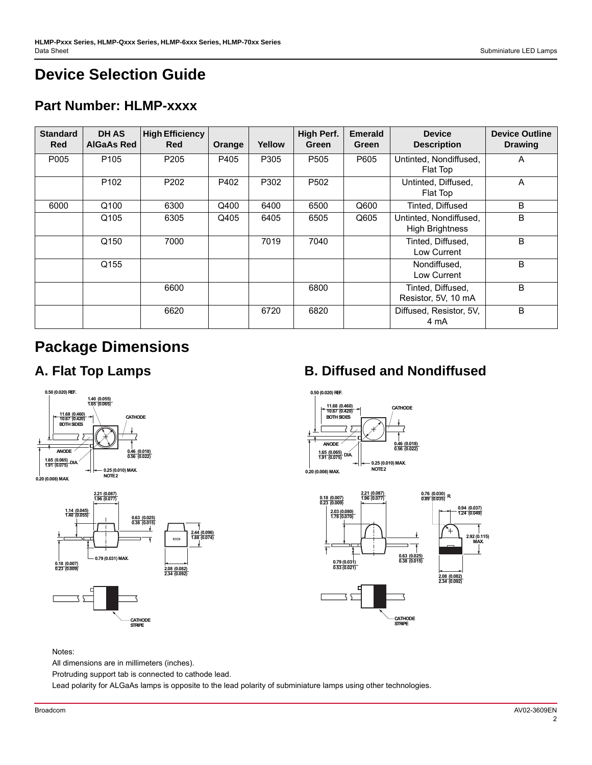## **Device Selection Guide**

## **Part Number: HLMP-xxxx**

| <b>Standard</b><br>Red | <b>DHAS</b><br><b>AIGaAs Red</b> | <b>High Efficiency</b><br><b>Red</b> | Orange | Yellow | High Perf.<br>Green | <b>Emerald</b><br>Green | <b>Device</b><br><b>Description</b>              | <b>Device Outline</b><br><b>Drawing</b> |
|------------------------|----------------------------------|--------------------------------------|--------|--------|---------------------|-------------------------|--------------------------------------------------|-----------------------------------------|
| P <sub>005</sub>       | P <sub>105</sub>                 | P <sub>205</sub>                     | P405   | P305   | P <sub>505</sub>    | P605                    | Untinted, Nondiffused,<br>Flat Top               | A                                       |
|                        | P <sub>102</sub>                 | P <sub>202</sub>                     | P402   | P302   | P <sub>502</sub>    |                         | Untinted, Diffused,<br>Flat Top                  | A                                       |
| 6000                   | Q100                             | 6300                                 | Q400   | 6400   | 6500                | Q600                    | Tinted, Diffused                                 | B                                       |
|                        | Q105                             | 6305                                 | Q405   | 6405   | 6505                | Q605                    | Untinted, Nondiffused,<br><b>High Brightness</b> | B                                       |
|                        | Q150                             | 7000                                 |        | 7019   | 7040                |                         | Tinted, Diffused,<br>Low Current                 | B                                       |
|                        | Q155                             |                                      |        |        |                     |                         | Nondiffused.<br>Low Current                      | B                                       |
|                        |                                  | 6600                                 |        |        | 6800                |                         | Tinted, Diffused,<br>Resistor, 5V, 10 mA         | B                                       |
|                        |                                  | 6620                                 |        | 6720   | 6820                |                         | Diffused, Resistor, 5V,<br>4 mA                  | B                                       |

## **Package Dimensions**





## A. Flat Top Lamps **B. Diffused and Nondiffused**





#### Notes:

All dimensions are in millimeters (inches).

Protruding support tab is connected to cathode lead.

**CATHODE STRIPE**

Lead polarity for ALGaAs lamps is opposite to the lead polarity of subminiature lamps using other technologies.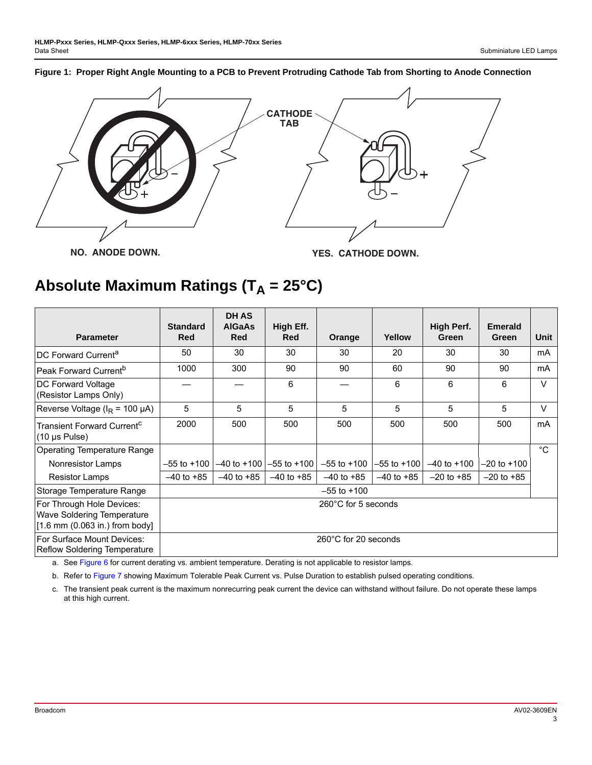### **Figure 1: Proper Right Angle Mounting to a PCB to Prevent Protruding Cathode Tab from Shorting to Anode Connection**



## **Absolute Maximum Ratings (TA = 25°C)**

| <b>Parameter</b>                                                                              | <b>Standard</b><br><b>Red</b> | <b>DHAS</b><br><b>AlGaAs</b><br>Red | High Eff.<br><b>Red</b> | Orange               | Yellow         | High Perf.<br>Green | <b>Emerald</b><br>Green | Unit         |
|-----------------------------------------------------------------------------------------------|-------------------------------|-------------------------------------|-------------------------|----------------------|----------------|---------------------|-------------------------|--------------|
| DC Forward Current <sup>a</sup>                                                               | 50                            | 30                                  | 30                      | 30                   | 20             | 30                  | 30                      | mA           |
| Peak Forward Current <sup>b</sup>                                                             | 1000                          | 300                                 | 90                      | 90                   | 60             | 90                  | 90                      | mA           |
| DC Forward Voltage<br>(Resistor Lamps Only)                                                   |                               |                                     | 6                       |                      | 6              | 6                   | 6                       | $\vee$       |
| Reverse Voltage ( $I_R$ = 100 µA)                                                             | 5                             | 5                                   | 5                       | 5                    | 5              | 5                   | 5                       | $\vee$       |
| Transient Forward Current <sup>c</sup><br>$(10 \,\mu s \text{ Pulse})$                        | 2000                          | 500                                 | 500                     | 500                  | 500            | 500                 | 500                     | mA           |
| <b>Operating Temperature Range</b>                                                            |                               |                                     |                         |                      |                |                     |                         | $^{\circ}$ C |
| Nonresistor Lamps                                                                             | $-55$ to $+100$               | $-40$ to $+100$                     | $-55$ to $+100$         | $-55$ to $+100$      | –55 to +100 l  | $-40$ to $+100$     | $-20$ to $+100$         |              |
| <b>Resistor Lamps</b>                                                                         | $-40$ to $+85$                | $-40$ to $+85$                      | $-40$ to $+85$          | $-40$ to $+85$       | $-40$ to $+85$ | $-20$ to $+85$      | $-20$ to $+85$          |              |
| Storage Temperature Range                                                                     |                               |                                     |                         | $-55$ to $+100$      |                |                     |                         |              |
| For Through Hole Devices:<br>Wave Soldering Temperature<br>$[1.6$ mm $(0.063$ in.) from body] | $260^{\circ}$ C for 5 seconds |                                     |                         |                      |                |                     |                         |              |
| For Surface Mount Devices:<br><b>Reflow Soldering Temperature</b>                             |                               |                                     |                         | 260°C for 20 seconds |                |                     |                         |              |

a. See [Figure 6](#page-11-0) for current derating vs. ambient temperature. Derating is not applicable to resistor lamps.

b. Refer to [Figure 7](#page-11-1) showing Maximum Tolerable Peak Current vs. Pulse Duration to establish pulsed operating conditions.

c. The transient peak current is the maximum nonrecurring peak current the device can withstand without failure. Do not operate these lamps at this high current.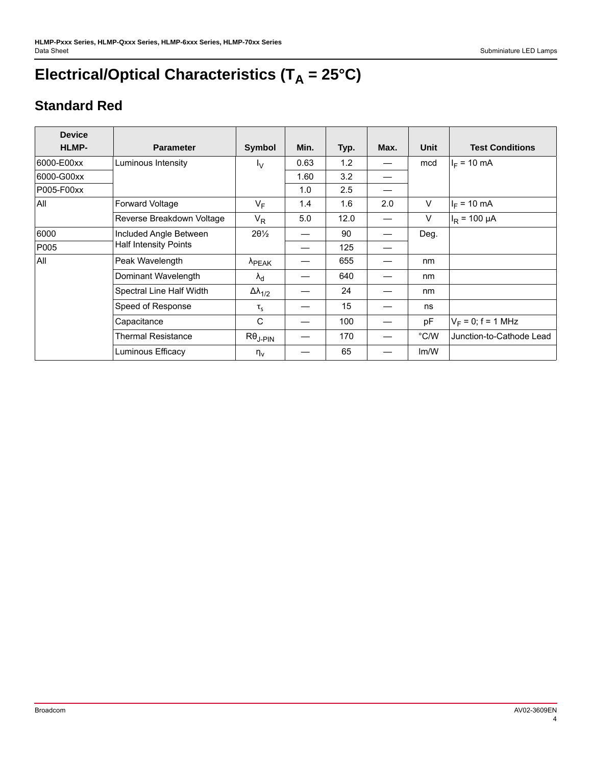# **Electrical/Optical Characteristics (T<sub>A</sub> = 25°C)**

## **Standard Red**

| <b>Device</b> |                              |                                                              |      |      |      |             |                          |
|---------------|------------------------------|--------------------------------------------------------------|------|------|------|-------------|--------------------------|
| HLMP-         | <b>Parameter</b>             | <b>Symbol</b>                                                | Min. | Typ. | Max. | <b>Unit</b> | <b>Test Conditions</b>   |
| 6000-E00xx    | Luminous Intensity           | $I_{\rm V}$                                                  | 0.63 | 1.2  |      | mcd         | $I_F = 10$ mA            |
| 6000-G00xx    |                              |                                                              | 1.60 | 3.2  |      |             |                          |
| P005-F00xx    |                              |                                                              | 1.0  | 2.5  |      |             |                          |
| All           | Forward Voltage              | $V_F$                                                        | 1.4  | 1.6  | 2.0  | $\vee$      | $I_F = 10$ mA            |
|               | Reverse Breakdown Voltage    | $V_R$                                                        | 5.0  | 12.0 |      | $\vee$      | $I_R$ = 100 µA           |
| 6000          | Included Angle Between       | $20\frac{1}{2}$                                              |      | 90   |      | Deg.        |                          |
| P005          | <b>Half Intensity Points</b> |                                                              | 125  |      |      |             |                          |
| All           | Peak Wavelength              | $\lambda_{\text{PEAK}}$                                      |      | 655  |      | nm          |                          |
|               | Dominant Wavelength          | $y^q$                                                        |      | 640  |      | nm          |                          |
|               | Spectral Line Half Width     | $\Delta\lambda_{1/2}$                                        |      | 24   |      | nm          |                          |
|               | Speed of Response            | $\tau_{\rm s}$                                               |      | 15   |      | ns          |                          |
|               | Capacitance                  | C                                                            |      | 100  |      | pF          | $V_F = 0$ ; f = 1 MHz    |
|               | <b>Thermal Resistance</b>    | $\mathsf{R}\mathsf{\theta}_{\mathsf{J}\text{-}\mathsf{PIN}}$ |      | 170  |      | °C/W        | Junction-to-Cathode Lead |
|               | Luminous Efficacy            | $\eta_v$                                                     |      | 65   |      | Im/W        |                          |

4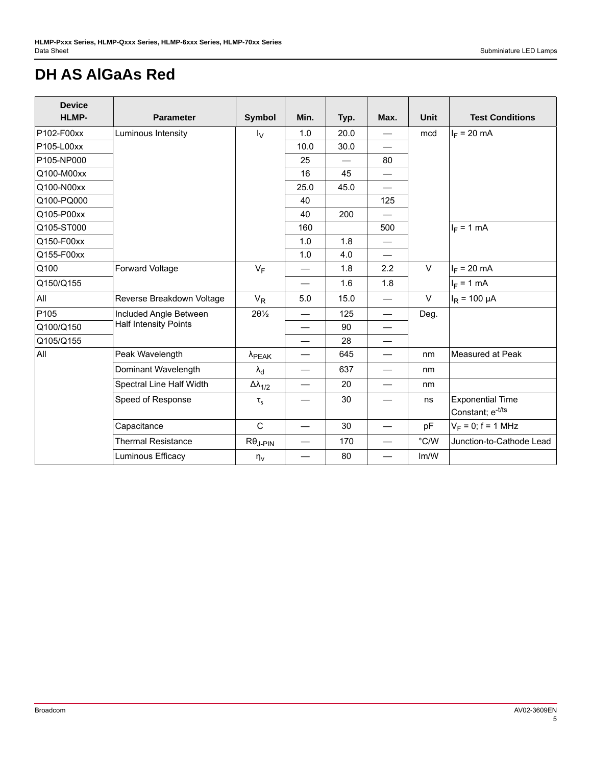## **DH AS AlGaAs Red**

| <b>Device</b> |                              |                       |      |                          |                          |               |                                                         |
|---------------|------------------------------|-----------------------|------|--------------------------|--------------------------|---------------|---------------------------------------------------------|
| <b>HLMP-</b>  | <b>Parameter</b>             | <b>Symbol</b>         | Min. | Typ.                     | Max.                     | Unit          | <b>Test Conditions</b>                                  |
| P102-F00xx    | Luminous Intensity           | $I_V$                 | 1.0  | 20.0                     |                          | mcd           | $I_F = 20$ mA                                           |
| P105-L00xx    |                              |                       | 10.0 | 30.0                     |                          |               |                                                         |
| P105-NP000    |                              |                       | 25   | $\overline{\phantom{0}}$ | 80                       |               |                                                         |
| Q100-M00xx    |                              |                       | 16   | 45                       | —                        |               |                                                         |
| Q100-N00xx    |                              |                       | 25.0 | 45.0                     |                          |               |                                                         |
| Q100-PQ000    |                              |                       | 40   |                          | 125                      |               |                                                         |
| Q105-P00xx    |                              |                       | 40   | 200                      | $\overline{\phantom{0}}$ |               |                                                         |
| Q105-ST000    |                              |                       | 160  |                          | 500                      |               | $I_F = 1$ mA                                            |
| Q150-F00xx    |                              |                       | 1.0  | 1.8                      | $\overline{\phantom{m}}$ |               |                                                         |
| Q155-F00xx    |                              |                       | 1.0  | 4.0                      |                          |               |                                                         |
| Q100          | Forward Voltage              | $V_F$                 |      | 1.8                      | 2.2                      | $\vee$        | $I_F = 20$ mA                                           |
| Q150/Q155     |                              |                       |      | 1.6                      | 1.8                      |               | $I_F = 1$ mA                                            |
| All           | Reverse Breakdown Voltage    | $V_R$                 | 5.0  | 15.0                     | $\overline{\phantom{m}}$ | $\vee$        | $I_R$ = 100 µA                                          |
| P105          | Included Angle Between       | $20\frac{1}{2}$       |      | 125                      |                          | Deg.          |                                                         |
| Q100/Q150     | <b>Half Intensity Points</b> |                       |      | 90                       |                          |               |                                                         |
| Q105/Q155     |                              |                       |      | 28                       | $\overline{\phantom{0}}$ |               |                                                         |
| All           | Peak Wavelength              | $\lambda$ PEAK        |      | 645                      | —                        | nm            | Measured at Peak                                        |
|               | Dominant Wavelength          | $\lambda_{\rm d}$     |      | 637                      |                          | nm            |                                                         |
|               | Spectral Line Half Width     | $\Delta\lambda_{1/2}$ |      | 20                       |                          | nm            |                                                         |
|               | Speed of Response            | $\tau_{\rm s}$        |      | 30                       |                          | ns            | <b>Exponential Time</b><br>Constant; e <sup>-t/ts</sup> |
|               | Capacitance                  | $\mathsf C$           |      | 30                       |                          | pF            | $V_F = 0$ ; f = 1 MHz                                   |
|               | <b>Thermal Resistance</b>    | $R\theta_{J-PIN}$     |      | 170                      |                          | $\degree$ C/W | Junction-to-Cathode Lead                                |
|               | Luminous Efficacy            | $\eta_v$              |      | 80                       |                          | Im/W          |                                                         |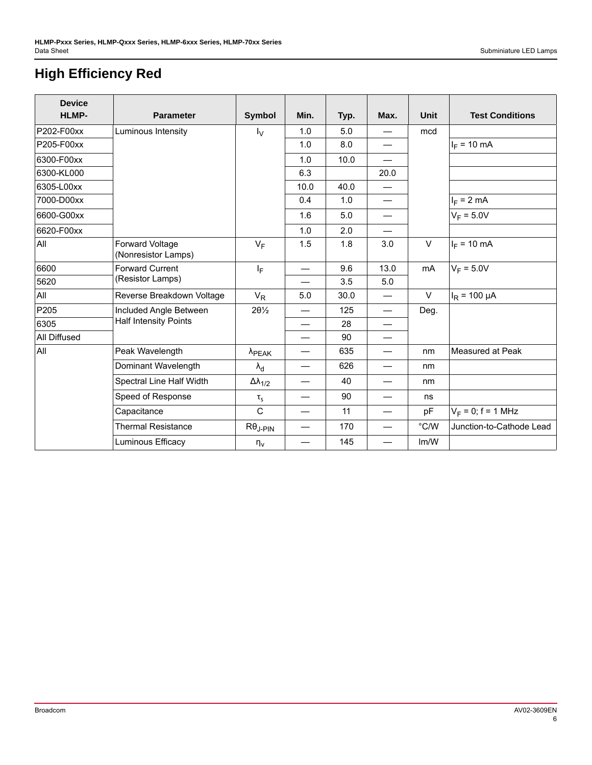## **High Efficiency Red**

| <b>Device</b>       |                                        |                                    |      |              |                          |             |                          |
|---------------------|----------------------------------------|------------------------------------|------|--------------|--------------------------|-------------|--------------------------|
| <b>HLMP-</b>        | <b>Parameter</b>                       | Symbol                             | Min. | Typ.         | Max.                     | <b>Unit</b> | <b>Test Conditions</b>   |
| P202-F00xx          | Luminous Intensity                     | $I_{\rm V}$                        | 1.0  | 5.0          |                          | mcd         |                          |
| P205-F00xx          |                                        |                                    | 1.0  | 8.0          | $\overline{\phantom{0}}$ |             | $I_F = 10$ mA            |
| 6300-F00xx          |                                        |                                    | 1.0  | 10.0         |                          |             |                          |
| 6300-KL000          |                                        |                                    | 6.3  |              | 20.0                     |             |                          |
| 6305-L00xx          |                                        |                                    | 10.0 | 40.0         |                          |             |                          |
| 7000-D00xx          |                                        |                                    | 0.4  | 1.0          | —                        |             | $I_F = 2 mA$             |
| 6600-G00xx          |                                        |                                    | 1.6  | 5.0          |                          |             | $V_F = 5.0V$             |
| 6620-F00xx          |                                        |                                    | 1.0  | 2.0          | $\overline{\phantom{0}}$ |             |                          |
| All                 | Forward Voltage<br>(Nonresistor Lamps) | $V_F$                              | 1.5  | 1.8          | 3.0                      | V           | $I_F = 10$ mA            |
| 6600                | <b>Forward Current</b>                 | 13.0<br>9.6<br>$I_F$<br>3.5<br>5.0 | mA   | $V_F = 5.0V$ |                          |             |                          |
| 5620                | (Resistor Lamps)                       |                                    |      |              |                          |             |                          |
| All                 | Reverse Breakdown Voltage              | $V_R$                              | 5.0  | 30.0         |                          | $\vee$      | $I_R$ = 100 µA           |
| P205                | Included Angle Between                 | $2\theta\frac{1}{2}$               |      | 125          | $\overline{\phantom{0}}$ | Deg.        |                          |
| 6305                | <b>Half Intensity Points</b>           |                                    |      | 28           |                          |             |                          |
| <b>All Diffused</b> |                                        |                                    |      | 90           |                          |             |                          |
| All                 | Peak Wavelength                        | $\lambda_{\sf PEAK}$               |      | 635          |                          | nm          | Measured at Peak         |
|                     | Dominant Wavelength                    | $\lambda_{\rm d}$                  |      | 626          |                          | nm          |                          |
|                     | Spectral Line Half Width               | $\Delta\lambda_{1/2}$              |      | 40           |                          | nm          |                          |
|                     | Speed of Response                      | $\tau_{\text{s}}$                  |      | 90           |                          | ns          |                          |
|                     | Capacitance                            | $\mathsf{C}$                       |      | 11           |                          | рF          | $V_F = 0$ ; f = 1 MHz    |
|                     | <b>Thermal Resistance</b>              | $R\theta_{J-PIN}$                  |      | 170          |                          | °C/W        | Junction-to-Cathode Lead |
|                     | Luminous Efficacy                      | $n_v$                              |      | 145          |                          | Im/W        |                          |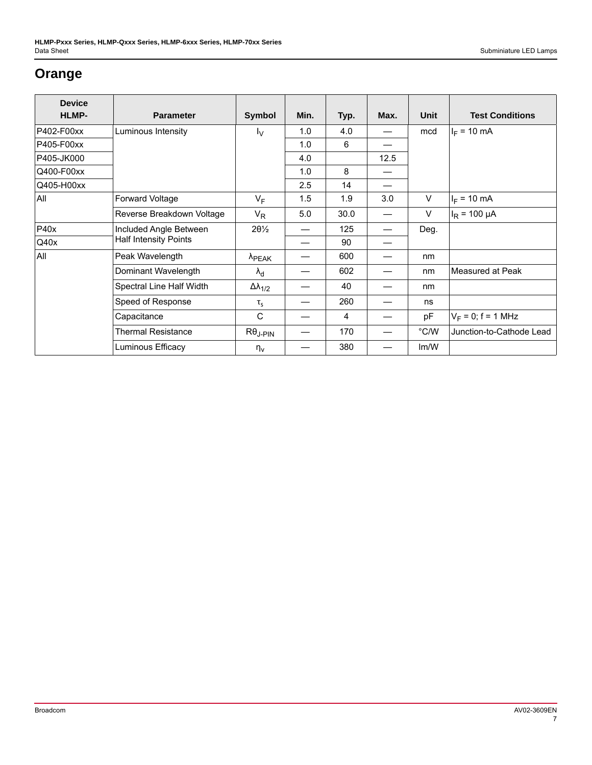## **Orange**

| <b>Device</b><br><b>HLMP-</b> | <b>Parameter</b>             | Symbol                | Min. | Typ. | Max. | Unit          | <b>Test Conditions</b>   |
|-------------------------------|------------------------------|-----------------------|------|------|------|---------------|--------------------------|
| P402-F00xx                    | Luminous Intensity           | $I_{\rm V}$           | 1.0  | 4.0  |      | mcd           | $I_F = 10 \text{ mA}$    |
| P405-F00xx                    |                              |                       | 1.0  | 6    |      |               |                          |
| P405-JK000                    |                              |                       | 4.0  |      | 12.5 |               |                          |
| Q400-F00xx                    |                              |                       | 1.0  | 8    | —    |               |                          |
| Q405-H00xx                    |                              |                       | 2.5  | 14   |      |               |                          |
| All                           | Forward Voltage              | $V_F$                 | 1.5  | 1.9  | 3.0  | $\vee$        | $I_F = 10$ mA            |
|                               | Reverse Breakdown Voltage    | $V_R$                 | 5.0  | 30.0 |      | $\vee$        | $I_R$ = 100 µA           |
| <b>P40x</b>                   | Included Angle Between       | $20\frac{1}{2}$       |      | 125  |      | Deg.          |                          |
| Q40x                          | <b>Half Intensity Points</b> |                       |      | 90   |      |               |                          |
| All                           | Peak Wavelength              | $\lambda$ PEAK        |      | 600  |      | nm            |                          |
|                               | Dominant Wavelength          | $\lambda_{\rm d}$     |      | 602  |      | nm            | Measured at Peak         |
|                               | Spectral Line Half Width     | $\Delta\lambda_{1/2}$ |      | 40   |      | nm            |                          |
|                               | Speed of Response            | $\tau_{\mathsf{s}}$   |      | 260  |      | ns            |                          |
|                               | Capacitance                  | $\mathsf{C}$          |      | 4    |      | рF            | $V_F = 0$ ; f = 1 MHz    |
|                               | <b>Thermal Resistance</b>    | $R\theta_{J-PIN}$     |      | 170  |      | $\degree$ C/W | Junction-to-Cathode Lead |
|                               | Luminous Efficacy            | $\eta_v$              |      | 380  |      | Im/W          |                          |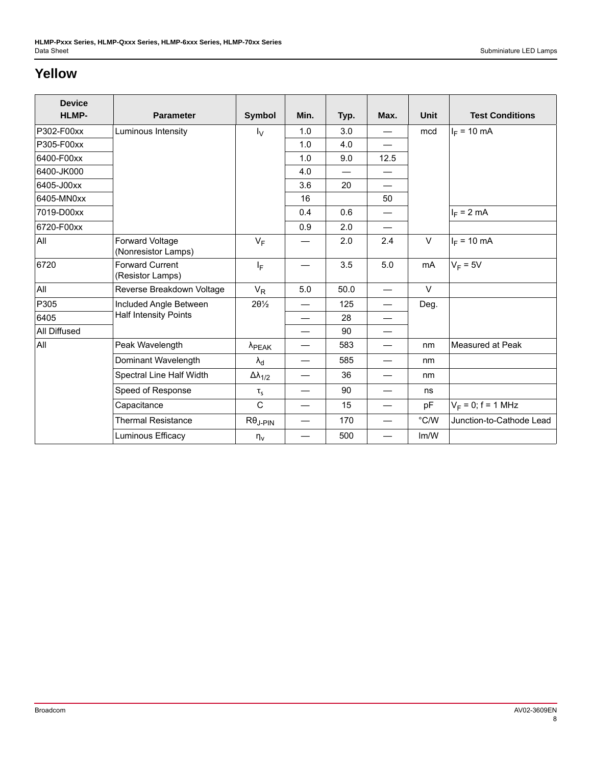## **Yellow**

| <b>Device</b><br><b>HLMP-</b> | <b>Parameter</b>                           | <b>Symbol</b>           | Min. | Typ. | Max.                     | <b>Unit</b> | <b>Test Conditions</b>   |
|-------------------------------|--------------------------------------------|-------------------------|------|------|--------------------------|-------------|--------------------------|
| P302-F00xx                    | Luminous Intensity                         | $I_{\rm V}$             | 1.0  | 3.0  |                          | mcd         | $I_F = 10$ mA            |
| P305-F00xx                    |                                            |                         | 1.0  | 4.0  |                          |             |                          |
| 6400-F00xx                    |                                            |                         | 1.0  | 9.0  | 12.5                     |             |                          |
| 6400-JK000                    |                                            |                         | 4.0  |      |                          |             |                          |
| 6405-J00xx                    |                                            |                         | 3.6  | 20   | $\overline{\phantom{0}}$ |             |                          |
| 6405-MN0xx                    |                                            |                         | 16   |      | 50                       |             |                          |
| 7019-D00xx                    |                                            |                         | 0.4  | 0.6  |                          |             | $I_F = 2 mA$             |
| 6720-F00xx                    |                                            |                         | 0.9  | 2.0  | $\overline{\phantom{0}}$ |             |                          |
| All                           | Forward Voltage<br>(Nonresistor Lamps)     | $V_F$                   |      | 2.0  | 2.4                      | $\vee$      | $I_F = 10$ mA            |
| 6720                          | <b>Forward Current</b><br>(Resistor Lamps) | $\mathsf{I}_\mathsf{F}$ |      | 3.5  | 5.0                      | mA          | $V_F = 5V$               |
| All                           | Reverse Breakdown Voltage                  | $V_R$                   | 5.0  | 50.0 |                          | $\vee$      |                          |
| P305                          | Included Angle Between                     | $20\frac{1}{2}$         |      | 125  |                          | Deg.        |                          |
| 6405                          | <b>Half Intensity Points</b>               |                         |      | 28   |                          |             |                          |
| <b>All Diffused</b>           |                                            |                         |      | 90   |                          |             |                          |
| All                           | Peak Wavelength                            | $\lambda_{\sf PEAK}$    |      | 583  |                          | nm          | Measured at Peak         |
|                               | Dominant Wavelength                        | $\lambda_{\rm d}$       |      | 585  |                          | nm          |                          |
|                               | Spectral Line Half Width                   | $\Delta\lambda_{1/2}$   |      | 36   |                          | nm          |                          |
|                               | Speed of Response                          | $\tau_{\rm s}$          |      | 90   |                          | ns          |                          |
|                               | Capacitance                                | $\mathsf{C}$            |      | 15   | —                        | pF          | $V_F = 0$ ; f = 1 MHz    |
|                               | <b>Thermal Resistance</b>                  | $R\theta_{J-PIN}$       |      | 170  |                          | °C/W        | Junction-to-Cathode Lead |
|                               | Luminous Efficacy                          | $n_v$                   |      | 500  |                          | Im/W        |                          |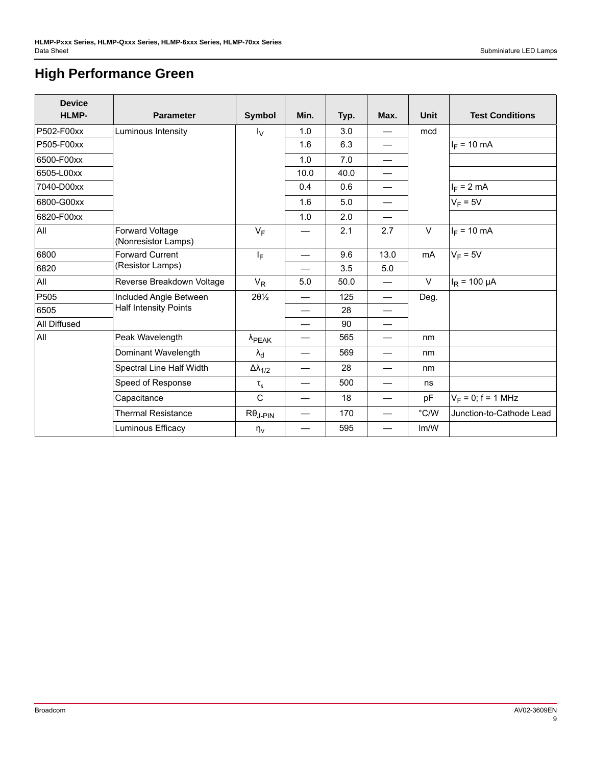## **High Performance Green**

| <b>Device</b> |                                        |                       |      |      |                          |             |                          |
|---------------|----------------------------------------|-----------------------|------|------|--------------------------|-------------|--------------------------|
| <b>HLMP-</b>  | <b>Parameter</b>                       | <b>Symbol</b>         | Min. | Typ. | Max.                     | <b>Unit</b> | <b>Test Conditions</b>   |
| P502-F00xx    | Luminous Intensity                     | $I_V$                 | 1.0  | 3.0  | —                        | mcd         |                          |
| P505-F00xx    |                                        |                       | 1.6  | 6.3  |                          |             | $I_F = 10$ mA            |
| 6500-F00xx    |                                        |                       | 1.0  | 7.0  |                          |             |                          |
| 6505-L00xx    |                                        |                       | 10.0 | 40.0 | $\overline{\phantom{0}}$ |             |                          |
| 7040-D00xx    |                                        |                       | 0.4  | 0.6  |                          |             | $I_F = 2 mA$             |
| 6800-G00xx    |                                        |                       | 1.6  | 5.0  |                          |             | $V_F = 5V$               |
| 6820-F00xx    |                                        |                       | 1.0  | 2.0  |                          |             |                          |
| All           | Forward Voltage<br>(Nonresistor Lamps) | $V_F$                 |      | 2.1  | 2.7                      | $\vee$      | $I_F = 10$ mA            |
| 6800          | <b>Forward Current</b>                 | $I_F$                 |      | 9.6  | 13.0                     | mA          | $V_F = 5V$               |
| 6820          | (Resistor Lamps)                       |                       |      | 3.5  | 5.0                      |             |                          |
| All           | Reverse Breakdown Voltage              | $V_R$                 | 5.0  | 50.0 |                          | $\vee$      | $I_R$ = 100 µA           |
| P505          | Included Angle Between                 | $20\frac{1}{2}$       |      | 125  | $\overline{\phantom{0}}$ | Deg.        |                          |
| 6505          | <b>Half Intensity Points</b>           |                       |      | 28   |                          |             |                          |
| All Diffused  |                                        |                       |      | 90   |                          |             |                          |
| All           | Peak Wavelength                        | $\lambda_{\sf PEAK}$  |      | 565  |                          | nm          |                          |
|               | Dominant Wavelength                    | $\lambda_{\rm d}$     |      | 569  |                          | nm          |                          |
|               | Spectral Line Half Width               | $\Delta\lambda_{1/2}$ |      | 28   |                          | nm          |                          |
|               | Speed of Response                      | $\tau_{\mathsf{s}}$   |      | 500  |                          | ns          |                          |
|               | Capacitance                            | $\mathsf{C}$          |      | 18   |                          | pF          | $V_F = 0$ ; f = 1 MHz    |
|               | <b>Thermal Resistance</b>              | $R\theta_{J-PIN}$     |      | 170  |                          | °C/W        | Junction-to-Cathode Lead |
|               | Luminous Efficacy                      | $\eta_v$              |      | 595  |                          | Im/W        |                          |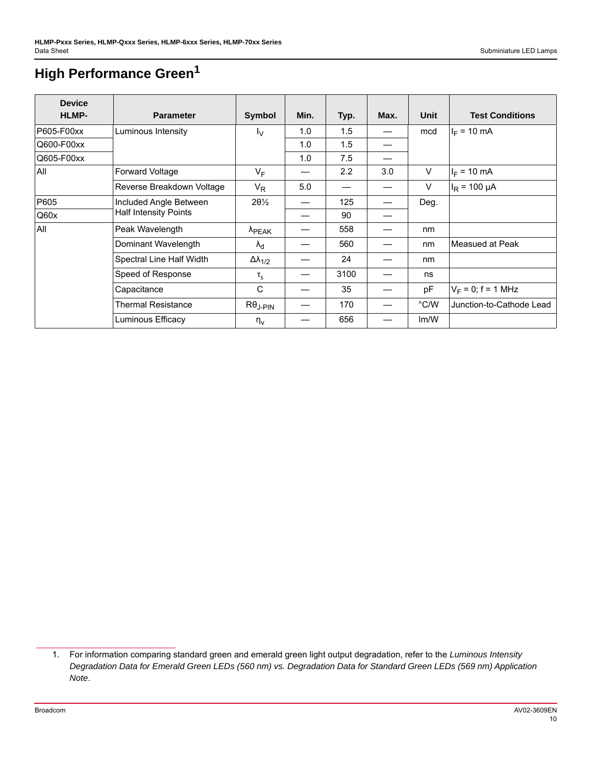## **High Performance Green1**

| <b>Device</b> |                              |                       |      |      |      |             |                          |
|---------------|------------------------------|-----------------------|------|------|------|-------------|--------------------------|
| HLMP-         | <b>Parameter</b>             | Symbol                | Min. | Typ. | Max. | <b>Unit</b> | <b>Test Conditions</b>   |
| P605-F00xx    | Luminous Intensity           | $I_{V}$               | 1.0  | 1.5  |      | mcd         | $I_F = 10$ mA            |
| Q600-F00xx    |                              |                       | 1.0  | 1.5  |      |             |                          |
| Q605-F00xx    |                              |                       | 1.0  | 7.5  |      |             |                          |
| All           | Forward Voltage              | $V_F$                 |      | 2.2  | 3.0  | V           | $I_F = 10$ mA            |
|               | Reverse Breakdown Voltage    | $V_R$                 | 5.0  |      |      | V           | $I_R$ = 100 µA           |
| P605          | Included Angle Between       | $2\theta\frac{1}{2}$  |      | 125  |      | Deg.        |                          |
| Q60x          | <b>Half Intensity Points</b> | 90                    |      |      |      |             |                          |
| All           | Peak Wavelength              | $\lambda_{\sf PEAK}$  |      | 558  |      | nm          |                          |
|               | Dominant Wavelength          | $\lambda_{\rm d}$     |      | 560  |      | nm          | Measued at Peak          |
|               | Spectral Line Half Width     | $\Delta\lambda_{1/2}$ |      | 24   |      | nm          |                          |
|               | Speed of Response            | $\tau_{\varsigma}$    |      | 3100 |      | ns          |                          |
|               | Capacitance                  | C                     |      | 35   |      | pF          | $V_F = 0$ ; f = 1 MHz    |
|               | <b>Thermal Resistance</b>    | $R\theta_{J-PIN}$     |      | 170  |      | °C/W        | Junction-to-Cathode Lead |
|               | Luminous Efficacy            | $\eta_v$              |      | 656  |      | Im/W        |                          |

<sup>1.</sup> For information comparing standard green and emerald green light output degradation, refer to the *Luminous Intensity Degradation Data for Emerald Green LEDs (560 nm) vs. Degradation Data for Standard Green LEDs (569 nm) Application Note*.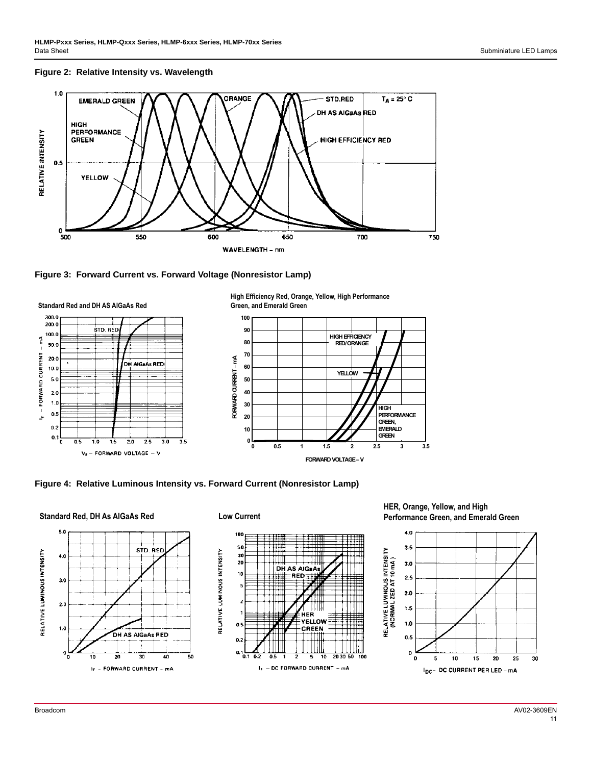



**Figure 3: Forward Current vs. Forward Voltage (Nonresistor Lamp)**



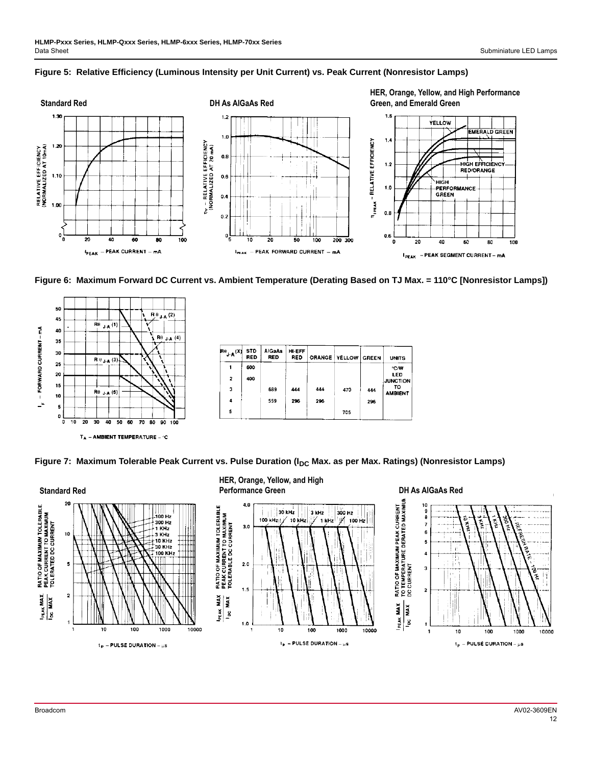



<span id="page-11-0"></span>**Figure 6: Maximum Forward DC Current vs. Ambient Temperature (Derating Based on TJ Max. = 110°C [Nonresistor Lamps])**



<span id="page-11-1"></span>

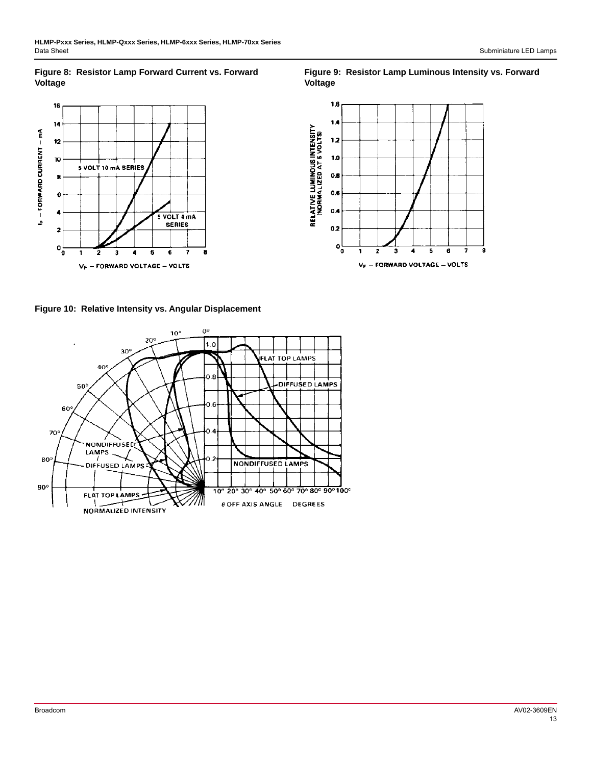### **Figure 8: Resistor Lamp Forward Current vs. Forward Voltage**



**Figure 9: Resistor Lamp Luminous Intensity vs. Forward Voltage**



**Figure 10: Relative Intensity vs. Angular Displacement**

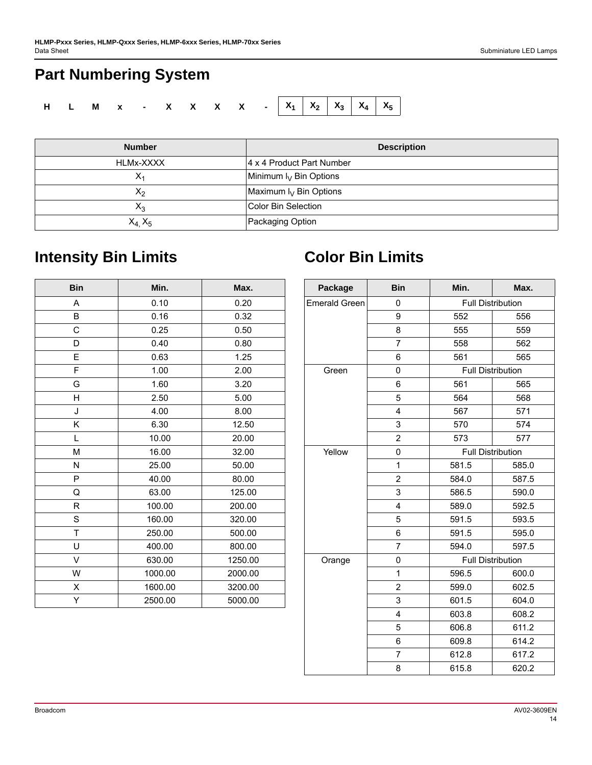# **Part Numbering System HLMx - XXXX - X1 X2 X3 X4 X5**

| <b>Number</b> | <b>Description</b>                 |
|---------------|------------------------------------|
| HLMx-XXXX     | 4 x 4 Product Part Number          |
| $X_1$         | Minimum I <sub>V</sub> Bin Options |
| $X_{2}$       | Maximum $I_V$ Bin Options          |
| $X_3$         | Color Bin Selection                |
| $X_4, X_5$    | Packaging Option                   |

## **Intensity Bin Limits Color Bin Limits**

| <b>Bin</b> | Min.    | Max.    |  |  |
|------------|---------|---------|--|--|
| A          | 0.10    | 0.20    |  |  |
| B          | 0.16    | 0.32    |  |  |
| C          | 0.25    | 0.50    |  |  |
| D          | 0.40    | 0.80    |  |  |
| E          | 0.63    | 1.25    |  |  |
| F          | 1.00    | 2.00    |  |  |
| G          | 1.60    | 3.20    |  |  |
| н          | 2.50    | 5.00    |  |  |
| J          | 4.00    | 8.00    |  |  |
| Κ          | 6.30    | 12.50   |  |  |
| Г          | 10.00   | 20.00   |  |  |
| M          | 16.00   | 32.00   |  |  |
| N          | 25.00   | 50.00   |  |  |
| P          | 40.00   | 80.00   |  |  |
| Q          | 63.00   | 125.00  |  |  |
| R          | 100.00  | 200.00  |  |  |
| S          | 160.00  | 320.00  |  |  |
| T          | 250.00  | 500.00  |  |  |
| U          | 400.00  | 800.00  |  |  |
| V          | 630.00  | 1250.00 |  |  |
| W          | 1000.00 | 2000.00 |  |  |
| X          | 1600.00 | 3200.00 |  |  |
| Υ          | 2500.00 | 5000.00 |  |  |

| Package              | <b>Bin</b>     | Min.                     | Max.                           |  |  |  |  |
|----------------------|----------------|--------------------------|--------------------------------|--|--|--|--|
| <b>Emerald Green</b> | 0              | <b>Full Distribution</b> |                                |  |  |  |  |
|                      | 9              | 552                      | 556                            |  |  |  |  |
|                      | 8              | 555                      | 559                            |  |  |  |  |
|                      | $\overline{7}$ | 558                      | 562                            |  |  |  |  |
|                      | 6              | 561                      | 565                            |  |  |  |  |
| Green                | 0              | <b>Full Distribution</b> |                                |  |  |  |  |
|                      | 6              | 561                      | 565                            |  |  |  |  |
|                      | 5              | 564                      | 568                            |  |  |  |  |
|                      | 4              | 567                      | 571                            |  |  |  |  |
|                      | 3              | 570                      | 574                            |  |  |  |  |
|                      | $\overline{c}$ | 573                      | 577<br>585.0<br>587.5<br>590.0 |  |  |  |  |
| Yellow               | 0              | <b>Full Distribution</b> |                                |  |  |  |  |
|                      | $\mathbf{1}$   | 581.5                    |                                |  |  |  |  |
|                      | $\overline{2}$ | 584.0                    |                                |  |  |  |  |
|                      | 3              | 586.5                    |                                |  |  |  |  |
|                      | 4              | 589.0                    | 592.5                          |  |  |  |  |
|                      | 5              | 591.5                    | 593.5                          |  |  |  |  |
|                      | 6              | 591.5                    | 595.0                          |  |  |  |  |
|                      | 7              | 594.0                    | 597.5                          |  |  |  |  |
| Orange               | 0              | <b>Full Distribution</b> |                                |  |  |  |  |
|                      | 1              | 596.5                    | 600.0                          |  |  |  |  |
|                      | $\overline{2}$ | 599.0                    | 602.5                          |  |  |  |  |
|                      | 3              | 601.5                    | 604.0                          |  |  |  |  |
|                      | 4              | 603.8                    | 608.2                          |  |  |  |  |
|                      | 5              | 606.8                    | 611.2                          |  |  |  |  |
|                      | 6              | 609.8                    | 614.2                          |  |  |  |  |
|                      | 7              | 612.8                    | 617.2                          |  |  |  |  |
|                      | 8              | 615.8                    | 620.2                          |  |  |  |  |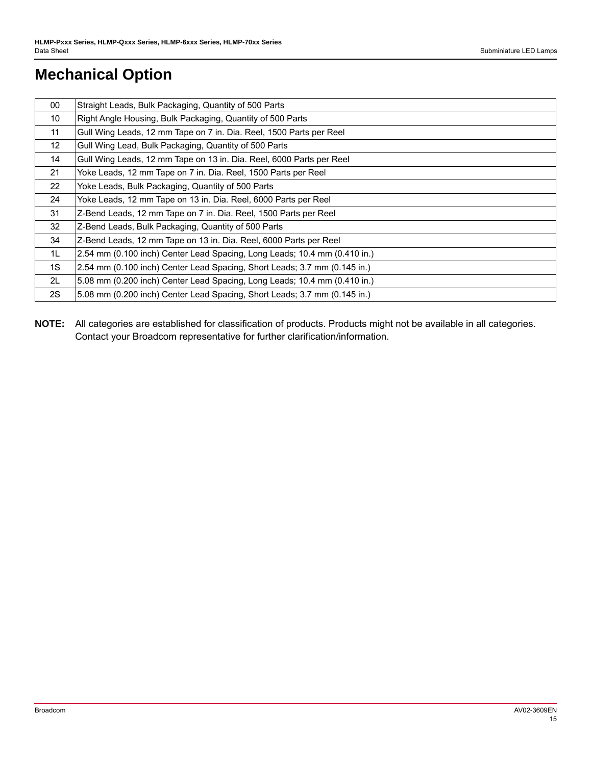## **Mechanical Option**

| 00              | Straight Leads, Bulk Packaging, Quantity of 500 Parts                     |
|-----------------|---------------------------------------------------------------------------|
| 10              | Right Angle Housing, Bulk Packaging, Quantity of 500 Parts                |
| 11              | Gull Wing Leads, 12 mm Tape on 7 in. Dia. Reel, 1500 Parts per Reel       |
| 12 <sup>°</sup> | Gull Wing Lead, Bulk Packaging, Quantity of 500 Parts                     |
| 14              | Gull Wing Leads, 12 mm Tape on 13 in. Dia. Reel, 6000 Parts per Reel      |
| 21              | Yoke Leads, 12 mm Tape on 7 in. Dia. Reel, 1500 Parts per Reel            |
| 22              | Yoke Leads, Bulk Packaging, Quantity of 500 Parts                         |
| 24              | Yoke Leads, 12 mm Tape on 13 in. Dia. Reel, 6000 Parts per Reel           |
| 31              | Z-Bend Leads, 12 mm Tape on 7 in. Dia. Reel, 1500 Parts per Reel          |
| 32              | Z-Bend Leads, Bulk Packaging, Quantity of 500 Parts                       |
| 34              | Z-Bend Leads, 12 mm Tape on 13 in. Dia. Reel, 6000 Parts per Reel         |
| 1L              | 2.54 mm (0.100 inch) Center Lead Spacing, Long Leads; 10.4 mm (0.410 in.) |
| 1S              | 2.54 mm (0.100 inch) Center Lead Spacing, Short Leads; 3.7 mm (0.145 in.) |
| 2L              | 5.08 mm (0.200 inch) Center Lead Spacing, Long Leads; 10.4 mm (0.410 in.) |
| 2S              | 5.08 mm (0.200 inch) Center Lead Spacing, Short Leads; 3.7 mm (0.145 in.) |

**NOTE:** All categories are established for classification of products. Products might not be available in all categories. Contact your Broadcom representative for further clarification/information.